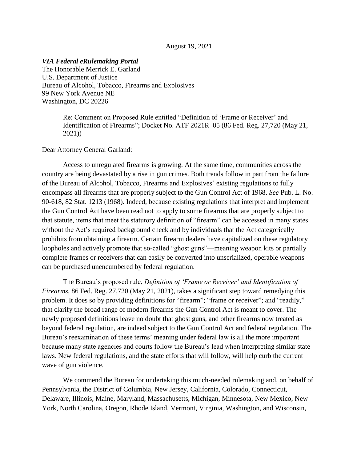### August 19, 2021

#### *VIA Federal eRulemaking Portal*

The Honorable Merrick E. Garland U.S. Department of Justice Bureau of Alcohol, Tobacco, Firearms and Explosives 99 New York Avenue NE Washington, DC 20226

> Re: Comment on Proposed Rule entitled "Definition of 'Frame or Receiver' and Identification of Firearms"; Docket No. ATF 2021R–05 (86 Fed. Reg. 27,720 (May 21, 2021))

Dear Attorney General Garland:

Access to unregulated firearms is growing. At the same time, communities across the country are being devastated by a rise in gun crimes. Both trends follow in part from the failure of the Bureau of Alcohol, Tobacco, Firearms and Explosives' existing regulations to fully encompass all firearms that are properly subject to the Gun Control Act of 1968. *See* Pub. L. No. 90-618, 82 Stat. 1213 (1968). Indeed, because existing regulations that interpret and implement the Gun Control Act have been read not to apply to some firearms that are properly subject to that statute, items that meet the statutory definition of "firearm" can be accessed in many states without the Act's required background check and by individuals that the Act categorically prohibits from obtaining a firearm. Certain firearm dealers have capitalized on these regulatory loopholes and actively promote that so-called "ghost guns"—meaning weapon kits or partially complete frames or receivers that can easily be converted into unserialized, operable weapons can be purchased unencumbered by federal regulation.

The Bureau's proposed rule, *Definition of 'Frame or Receiver' and Identification of Firearms*, 86 Fed. Reg. 27,720 (May 21, 2021), takes a significant step toward remedying this problem. It does so by providing definitions for "firearm"; "frame or receiver"; and "readily," that clarify the broad range of modern firearms the Gun Control Act is meant to cover. The newly proposed definitions leave no doubt that ghost guns, and other firearms now treated as beyond federal regulation, are indeed subject to the Gun Control Act and federal regulation. The Bureau's reexamination of these terms' meaning under federal law is all the more important because many state agencies and courts follow the Bureau's lead when interpreting similar state laws. New federal regulations, and the state efforts that will follow, will help curb the current wave of gun violence.

We commend the Bureau for undertaking this much-needed rulemaking and, on behalf of Pennsylvania, the District of Columbia, New Jersey, California, Colorado, Connecticut, Delaware, Illinois, Maine, Maryland, Massachusetts, Michigan, Minnesota, New Mexico, New York, North Carolina, Oregon, Rhode Island, Vermont, Virginia, Washington, and Wisconsin,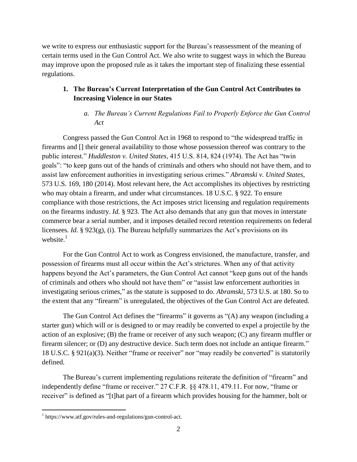we write to express our enthusiastic support for the Bureau's reassessment of the meaning of certain terms used in the Gun Control Act. We also write to suggest ways in which the Bureau may improve upon the proposed rule as it takes the important step of finalizing these essential regulations.

# **1. The Bureau's Current Interpretation of the Gun Control Act Contributes to Increasing Violence in our States**

# *a. The Bureau's Current Regulations Fail to Properly Enforce the Gun Control Act*

Congress passed the Gun Control Act in 1968 to respond to "the widespread traffic in firearms and [] their general availability to those whose possession thereof was contrary to the public interest." *Huddleston v. United States*, 415 U.S. 814, 824 (1974). The Act has "twin goals": "to keep guns out of the hands of criminals and others who should not have them, and to assist law enforcement authorities in investigating serious crimes." *Abramski v. United States*, 573 U.S. 169, 180 (2014). Most relevant here, the Act accomplishes its objectives by restricting who may obtain a firearm, and under what circumstances. 18 U.S.C. § 922. To ensure compliance with those restrictions, the Act imposes strict licensing and regulation requirements on the firearms industry. *Id.* § 923. The Act also demands that any gun that moves in interstate commerce bear a serial number, and it imposes detailed record retention requirements on federal licensees. *Id*. § 923(g), (i). The Bureau helpfully summarizes the Act's provisions on its website. $1$ 

For the Gun Control Act to work as Congress envisioned, the manufacture, transfer, and possession of firearms must all occur within the Act's strictures. When any of that activity happens beyond the Act's parameters, the Gun Control Act cannot "keep guns out of the hands of criminals and others who should not have them" or "assist law enforcement authorities in investigating serious crimes," as the statute is supposed to do. *Abramski*, 573 U.S. at 180. So to the extent that any "firearm" is unregulated, the objectives of the Gun Control Act are defeated.

The Gun Control Act defines the "firearms" it governs as "(A) any weapon (including a starter gun) which will or is designed to or may readily be converted to expel a projectile by the action of an explosive; (B) the frame or receiver of any such weapon; (C) any firearm muffler or firearm silencer; or (D) any destructive device. Such term does not include an antique firearm." 18 U.S.C. § 921(a)(3). Neither "frame or receiver" nor "may readily be converted" is statutorily defined.

The Bureau's current implementing regulations reiterate the definition of "firearm" and independently define "frame or receiver." 27 C.F.R. §§ 478.11, 479.11. For now, "frame or receiver" is defined as "[t]hat part of a firearm which provides housing for the hammer, bolt or

<sup>&</sup>lt;sup>1</sup> https://www.atf.gov/rules-and-regulations/gun-control-act.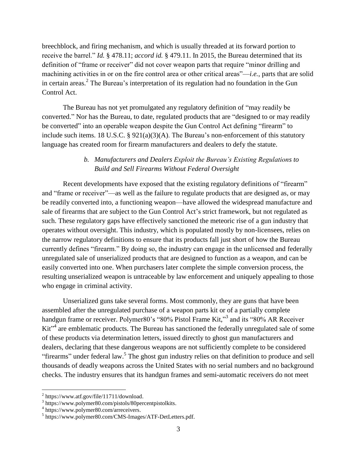breechblock, and firing mechanism, and which is usually threaded at its forward portion to receive the barrel." *Id.* § 478.11; *accord id.* § 479.11. In 2015, the Bureau determined that its definition of "frame or receiver" did not cover weapon parts that require "minor drilling and machining activities in or on the fire control area or other critical areas"—*i.e.*, parts that are solid in certain areas.<sup>2</sup> The Bureau's interpretation of its regulation had no foundation in the Gun Control Act.

The Bureau has not yet promulgated any regulatory definition of "may readily be converted." Nor has the Bureau, to date, regulated products that are "designed to or may readily be converted" into an operable weapon despite the Gun Control Act defining "firearm" to include such items. 18 U.S.C. § 921(a)(3)(A). The Bureau's non-enforcement of this statutory language has created room for firearm manufacturers and dealers to defy the statute.

# *b. Manufacturers and Dealers Exploit the Bureau's Existing Regulations to Build and Sell Firearms Without Federal Oversight*

Recent developments have exposed that the existing regulatory definitions of "firearm" and "frame or receiver"—as well as the failure to regulate products that are designed as, or may be readily converted into, a functioning weapon—have allowed the widespread manufacture and sale of firearms that are subject to the Gun Control Act's strict framework, but not regulated as such. These regulatory gaps have effectively sanctioned the meteoric rise of a gun industry that operates without oversight. This industry, which is populated mostly by non-licensees, relies on the narrow regulatory definitions to ensure that its products fall just short of how the Bureau currently defines "firearm." By doing so, the industry can engage in the unlicensed and federally unregulated sale of unserialized products that are designed to function as a weapon, and can be easily converted into one. When purchasers later complete the simple conversion process, the resulting unserialized weapon is untraceable by law enforcement and uniquely appealing to those who engage in criminal activity.

Unserialized guns take several forms. Most commonly, they are guns that have been assembled after the unregulated purchase of a weapon parts kit or of a partially complete handgun frame or receiver. Polymer80's "80% Pistol Frame Kit,"<sup>3</sup> and its "80% AR Receiver Kit<sup>-4</sup> are emblematic products. The Bureau has sanctioned the federally unregulated sale of some of these products via determination letters, issued directly to ghost gun manufacturers and dealers, declaring that these dangerous weapons are not sufficiently complete to be considered "firearms" under federal law.<sup>5</sup> The ghost gun industry relies on that definition to produce and sell thousands of deadly weapons across the United States with no serial numbers and no background checks. The industry ensures that its handgun frames and semi-automatic receivers do not meet

 $^{2}$  https://www.atf.gov/file/11711/download.

<sup>3</sup> https://www.polymer80.com/pistols/80percentpistolkits.

<sup>4</sup> https://www.polymer80.com/arreceivers.

<sup>5</sup> https://www.polymer80.com/CMS-Images/ATF-DetLetters.pdf.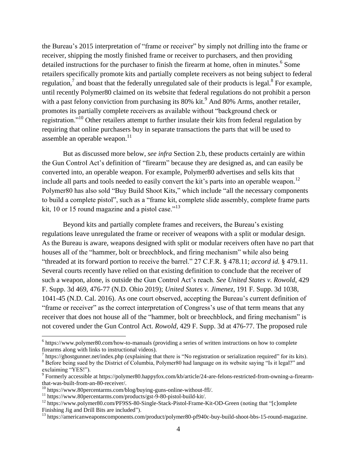the Bureau's 2015 interpretation of "frame or receiver" by simply not drilling into the frame or receiver, shipping the mostly finished frame or receiver to purchasers, and then providing detailed instructions for the purchaser to finish the firearm at home, often in minutes.<sup>6</sup> Some retailers specifically promote kits and partially complete receivers as not being subject to federal regulation,<sup>7</sup> and boast that the federally unregulated sale of their products is legal.<sup>8</sup> For example, until recently Polymer80 claimed on its website that federal regulations do not prohibit a person with a past felony conviction from purchasing its  $80\%$  kit.<sup>9</sup> And  $80\%$  Arms, another retailer, promotes its partially complete receivers as available without "background check or registration."<sup>10</sup> Other retailers attempt to further insulate their kits from federal regulation by requiring that online purchasers buy in separate transactions the parts that will be used to assemble an operable weapon.<sup>11</sup>

But as discussed more below, *see infra* Section 2.b, these products certainly are within the Gun Control Act's definition of "firearm" because they are designed as, and can easily be converted into, an operable weapon. For example, Polymer80 advertises and sells kits that include all parts and tools needed to easily convert the kit's parts into an operable weapon.<sup>12</sup> Polymer80 has also sold "Buy Build Shoot Kits," which include "all the necessary components to build a complete pistol", such as a "frame kit, complete slide assembly, complete frame parts kit, 10 or 15 round magazine and a pistol case."<sup>13</sup>

Beyond kits and partially complete frames and receivers, the Bureau's existing regulations leave unregulated the frame or receiver of weapons with a split or modular design. As the Bureau is aware, weapons designed with split or modular receivers often have no part that houses all of the "hammer, bolt or breechblock, and firing mechanism" while also being "threaded at its forward portion to receive the barrel." 27 C.F.R. § 478.11; *accord id.* § 479.11. Several courts recently have relied on that existing definition to conclude that the receiver of such a weapon, alone, is outside the Gun Control Act's reach. *See United States v. Rowold*, 429 F. Supp. 3d 469, 476-77 (N.D. Ohio 2019); *United States v. Jimenez*, 191 F. Supp. 3d 1038, 1041-45 (N.D. Cal. 2016). As one court observed, accepting the Bureau's current definition of "frame or receiver" as the correct interpretation of Congress's use of that term means that any receiver that does not house all of the "hammer, bolt or breechblock, and firing mechanism" is not covered under the Gun Control Act. *Rowold*, 429 F. Supp. 3d at 476-77. The proposed rule

<sup>&</sup>lt;sup>6</sup> https://www.polymer80.com/how-to-manuals (providing a series of written instructions on how to complete firearms along with links to instructional videos).

 $^7$  https://ghostgunner.net/index.php (explaining that there is "No registration or serialization required" for its kits). <sup>8</sup> Before being sued by the District of Columbia, Polymer80 had language on its website saying "Is it legal?" and

exclaiming "YES!").

<sup>9</sup> Formerly accessible at https://polymer80.happyfox.com/kb/article/24-are-felons-restricted-from-owning-a-firearmthat-was-built-from-an-80-receiver/.

<sup>10</sup> https://www.80percentarms.com/blog/buying-guns-online-without-ffl/.

<sup>11</sup> https://www.80percentarms.com/products/gst-9-80-pistol-build-kit/.

<sup>&</sup>lt;sup>12</sup> https://www.polymer80.com/PF9SS-80-Single-Stack-Pistol-Frame-Kit-OD-Green (noting that "[c]omplete Finishing Jig and Drill Bits are included").

<sup>&</sup>lt;sup>13</sup> https://americanweaponscomponents.com/product/polymer80-pf940c-buy-build-shoot-bbs-15-round-magazine.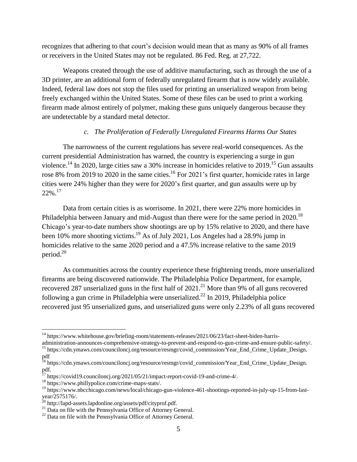recognizes that adhering to that court's decision would mean that as many as 90% of all frames or receivers in the United States may not be regulated. 86 Fed. Reg. at 27,722.

Weapons created through the use of additive manufacturing, such as through the use of a 3D printer, are an additional form of federally unregulated firearm that is now widely available. Indeed, federal law does not stop the files used for printing an unserialized weapon from being freely exchanged within the United States. Some of these files can be used to print a working firearm made almost entirely of polymer, making these guns uniquely dangerous because they are undetectable by a standard metal detector.

### *c. The Proliferation of Federally Unregulated Firearms Harms Our States*

The narrowness of the current regulations has severe real-world consequences. As the current presidential Administration has warned, the country is experiencing a surge in gun violence.<sup>14</sup> In 2020, large cities saw a 30% increase in homicides relative to 2019.<sup>15</sup> Gun assaults rose 8% from 2019 to 2020 in the same cities.<sup>16</sup> For 2021's first quarter, homicide rates in large cities were 24% higher than they were for 2020's first quarter, and gun assaults were up by  $22\%$ <sup>17</sup>

Data from certain cities is as worrisome. In 2021, there were 22% more homicides in Philadelphia between January and mid-August than there were for the same period in 2020.<sup>18</sup> Chicago's year-to-date numbers show shootings are up by 15% relative to 2020, and there have been 10% more shooting victims.<sup>19</sup> As of July 2021, Los Angeles had a 28.9% jump in homicides relative to the same 2020 period and a 47.5% increase relative to the same 2019 period.<sup>20</sup>

As communities across the country experience these frightening trends, more unserialized firearms are being discovered nationwide. The Philadelphia Police Department, for example, recovered 287 unserialized guns in the first half of  $2021$ .<sup>21</sup> More than 9% of all guns recovered following a gun crime in Philadelphia were unserialized.<sup>22</sup> In 2019, Philadelphia police recovered just 95 unserialized guns, and unserialized guns were only 2.23% of all guns recovered

<sup>&</sup>lt;sup>14</sup> https://www.whitehouse.gov/briefing-room/statements-releases/2021/06/23/fact-sheet-biden-harris-

administration-announces-comprehensive-strategy-to-prevent-and-respond-to-gun-crime-and-ensure-public-safety/. <sup>15</sup> https://cdn.ymaws.com/counciloncj.org/resource/resmgr/covid\_commission/Year\_End\_Crime\_Update\_Design.

pdf <sup>16</sup> https://cdn.ymaws.com/counciloncj.org/resource/resmgr/covid\_commission/Year\_End\_Crime\_Update\_Design. pdf.

pdf.<br><sup>17</sup> https://covid19.counciloncj.org/2021/05/21/impact-report-covid-19-and-crime-4/.

<sup>18</sup> https://www.phillypolice.com/crime-maps-stats/.

<sup>&</sup>lt;sup>19</sup> https://www.nbcchicago.com/news/local/chicago-gun-violence-461-shootings-reported-in-july-up-15-from-lastyear/2575176/.

<sup>&</sup>lt;sup>20</sup> http://lapd-assets.lapdonline.org/assets/pdf/cityprof.pdf.

 $21$  Data on file with the Pennsylvania Office of Attorney General.

 $22$  Data on file with the Pennsylvania Office of Attorney General.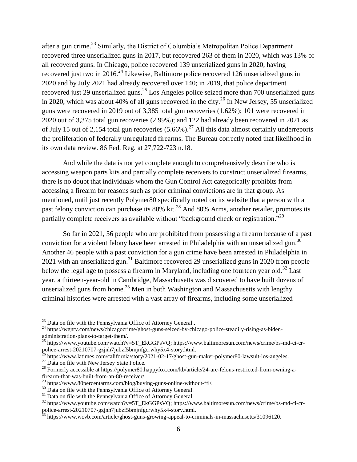after a gun crime.<sup>23</sup> Similarly, the District of Columbia's Metropolitan Police Department recovered three unserialized guns in 2017, but recovered 263 of them in 2020, which was 13% of all recovered guns. In Chicago, police recovered 139 unserialized guns in 2020, having recovered just two in 2016.<sup>24</sup> Likewise, Baltimore police recovered 126 unserialized guns in 2020 and by July 2021 had already recovered over 140; in 2019, that police department recovered just 29 unserialized guns.<sup>25</sup> Los Angeles police seized more than 700 unserialized guns in 2020, which was about 40% of all guns recovered in the city.<sup>26</sup> In New Jersey, 55 unserialized guns were recovered in 2019 out of 3,385 total gun recoveries (1.62%); 101 were recovered in 2020 out of 3,375 total gun recoveries (2.99%); and 122 had already been recovered in 2021 as of July 15 out of 2,154 total gun recoveries  $(5.66\%)$ .<sup>27</sup> All this data almost certainly underreports the proliferation of federally unregulated firearms. The Bureau correctly noted that likelihood in its own data review. 86 Fed. Reg. at 27,722-723 n.18.

And while the data is not yet complete enough to comprehensively describe who is accessing weapon parts kits and partially complete receivers to construct unserialized firearms, there is no doubt that individuals whom the Gun Control Act categorically prohibits from accessing a firearm for reasons such as prior criminal convictions are in that group. As mentioned, until just recently Polymer80 specifically noted on its website that a person with a past felony conviction can purchase its 80% kit.<sup>28</sup> And 80% Arms, another retailer, promotes its partially complete receivers as available without "background check or registration."<sup>29</sup>

So far in 2021, 56 people who are prohibited from possessing a firearm because of a past conviction for a violent felony have been arrested in Philadelphia with an unserialized gun.<sup>30</sup> Another 46 people with a past conviction for a gun crime have been arrested in Philadelphia in 2021 with an unserialized gun.<sup>31</sup> Baltimore recovered 29 unserialized guns in 2020 from people below the legal age to possess a firearm in Maryland, including one fourteen year old.<sup>32</sup> Last year, a thirteen-year-old in Cambridge, Massachusetts was discovered to have built dozens of unserialized guns from home.<sup>33</sup> Men in both Washington and Massachusetts with lengthy criminal histories were arrested with a vast array of firearms, including some unserialized

<sup>&</sup>lt;sup>23</sup> Data on file with the Pennsylvania Office of Attorney General..

<sup>&</sup>lt;sup>24</sup> https://wgntv.com/news/chicagocrime/ghost-guns-seized-by-chicago-police-steadily-rising-as-bidenadministration-plans-to-target-them/.

<sup>&</sup>lt;sup>25</sup> https://www.youtube.com/watch?v=5T\_EkGGPsVQ; https://www.baltimoresun.com/news/crime/bs-md-ci-crpolice-arrest-20210707-gzjnh7jubzf5bmjnfgcrwhy5x4-story.html.

 $^{26}$  https://www.latimes.com/california/story/2021-02-17/ghost-gun-maker-polymer80-lawsuit-los-angeles.

<sup>&</sup>lt;sup>27</sup> Data on file with New Jersey State Police.

<sup>&</sup>lt;sup>28</sup> Formerly accessible at https://polymer80.happyfox.com/kb/article/24-are-felons-restricted-from-owning-afirearm-that-was-built-from-an-80-receiver/.

<sup>29</sup> https://www.80percentarms.com/blog/buying-guns-online-without-ffl/.

 $30$  Data on file with the Pennsylvania Office of Attorney General.

<sup>&</sup>lt;sup>31</sup> Data on file with the Pennsylvania Office of Attorney General.

<sup>32</sup> https://www.youtube.com/watch?v=5T\_EkGGPsVQ; https://www.baltimoresun.com/news/crime/bs-md-ci-crpolice-arrest-20210707-gzjnh7jubzf5bmjnfgcrwhy5x4-story.html.

<sup>&</sup>lt;sup>33</sup> https://www.wcvb.com/article/ghost-guns-growing-appeal-to-criminals-in-massachusetts/31096120.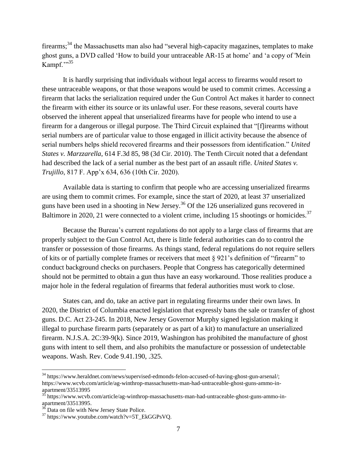firearms; $34$  the Massachusetts man also had "several high-capacity magazines, templates to make ghost guns, a DVD called 'How to build your untraceable AR-15 at home' and 'a copy of 'Mein Kampf."<sup>35</sup>

It is hardly surprising that individuals without legal access to firearms would resort to these untraceable weapons, or that those weapons would be used to commit crimes. Accessing a firearm that lacks the serialization required under the Gun Control Act makes it harder to connect the firearm with either its source or its unlawful user. For these reasons, several courts have observed the inherent appeal that unserialized firearms have for people who intend to use a firearm for a dangerous or illegal purpose. The Third Circuit explained that "[f]irearms without serial numbers are of particular value to those engaged in illicit activity because the absence of serial numbers helps shield recovered firearms and their possessors from identification." *United States v. Marzzarella*, 614 F.3d 85, 98 (3d Cir. 2010). The Tenth Circuit noted that a defendant had described the lack of a serial number as the best part of an assault rifle. *United States v. Trujillo*, 817 F. App'x 634, 636 (10th Cir. 2020).

Available data is starting to confirm that people who are accessing unserialized firearms are using them to commit crimes. For example, since the start of 2020, at least 37 unserialized guns have been used in a shooting in New Jersey.<sup>36</sup> Of the 126 unserialized guns recovered in Baltimore in 2020, 21 were connected to a violent crime, including 15 shootings or homicides.<sup>37</sup>

Because the Bureau's current regulations do not apply to a large class of firearms that are properly subject to the Gun Control Act, there is little federal authorities can do to control the transfer or possession of those firearms. As things stand, federal regulations do not require sellers of kits or of partially complete frames or receivers that meet § 921's definition of "firearm" to conduct background checks on purchasers. People that Congress has categorically determined should not be permitted to obtain a gun thus have an easy workaround. Those realities produce a major hole in the federal regulation of firearms that federal authorities must work to close.

States can, and do, take an active part in regulating firearms under their own laws. In 2020, the District of Columbia enacted legislation that expressly bans the sale or transfer of ghost guns. D.C. Act 23-245. In 2018, New Jersey Governor Murphy signed legislation making it illegal to purchase firearm parts (separately or as part of a kit) to manufacture an unserialized firearm. N.J.S.A. 2C:39-9(k). Since 2019, Washington has prohibited the manufacture of ghost guns with intent to sell them, and also prohibits the manufacture or possession of undetectable weapons. Wash. Rev. Code 9.41.190, .325.

<sup>&</sup>lt;sup>34</sup> https://www.heraldnet.com/news/supervised-edmonds-felon-accused-of-having-ghost-gun-arsenal/; https://www.wcvb.com/article/ag-winthrop-massachusetts-man-had-untraceable-ghost-guns-ammo-inapartment/33513995

<sup>&</sup>lt;sup>35</sup> https://www.wcvb.com/article/ag-winthrop-massachusetts-man-had-untraceable-ghost-guns-ammo-inapartment/33513995.

 $36$  Data on file with New Jersey State Police.

 $37$  https://www.youtube.com/watch?v=5T\_EkGGPsVQ.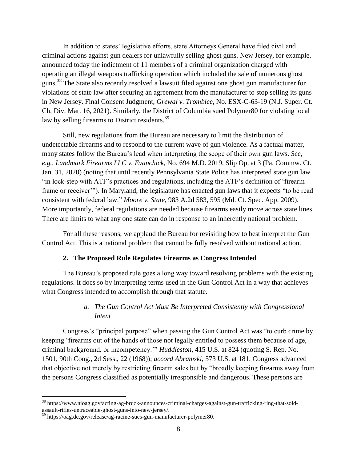In addition to states' legislative efforts, state Attorneys General have filed civil and criminal actions against gun dealers for unlawfully selling ghost guns. New Jersey, for example, announced today the indictment of 11 members of a criminal organization charged with operating an illegal weapons trafficking operation which included the sale of numerous ghost guns.<sup>38</sup> The State also recently resolved a lawsuit filed against one ghost gun manufacturer for violations of state law after securing an agreement from the manufacturer to stop selling its guns in New Jersey. Final Consent Judgment, *Grewal v. Tromblee*, No. ESX-C-63-19 (N.J. Super. Ct. Ch. Div. Mar. 16, 2021). Similarly, the District of Columbia sued Polymer80 for violating local law by selling firearms to District residents.<sup>39</sup>

Still, new regulations from the Bureau are necessary to limit the distribution of undetectable firearms and to respond to the current wave of gun violence. As a factual matter, many states follow the Bureau's lead when interpreting the scope of their own gun laws. *See, e.g.*, *Landmark Firearms LLC v. Evanchick*, No. 694 M.D. 2019, Slip Op. at 3 (Pa. Commw. Ct. Jan. 31, 2020) (noting that until recently Pennsylvania State Police has interpreted state gun law "in lock-step with ATF's practices and regulations, including the ATF's definition of 'firearm frame or receiver'"). In Maryland, the legislature has enacted gun laws that it expects "to be read consistent with federal law." *Moore v. State*, 983 A.2d 583, 595 (Md. Ct. Spec. App. 2009). More importantly, federal regulations are needed because firearms easily move across state lines. There are limits to what any one state can do in response to an inherently national problem.

For all these reasons, we applaud the Bureau for revisiting how to best interpret the Gun Control Act. This is a national problem that cannot be fully resolved without national action.

#### **2. The Proposed Rule Regulates Firearms as Congress Intended**

The Bureau's proposed rule goes a long way toward resolving problems with the existing regulations. It does so by interpreting terms used in the Gun Control Act in a way that achieves what Congress intended to accomplish through that statute.

# *a. The Gun Control Act Must Be Interpreted Consistently with Congressional Intent*

Congress's "principal purpose" when passing the Gun Control Act was "to curb crime by keeping 'firearms out of the hands of those not legally entitled to possess them because of age, criminal background, or incompetency.'" *Huddleston*, 415 U.S. at 824 (quoting S. Rep. No. 1501, 90th Cong., 2d Sess., 22 (1968)); *accord Abramski*, 573 U.S. at 181. Congress advanced that objective not merely by restricting firearm sales but by "broadly keeping firearms away from the persons Congress classified as potentially irresponsible and dangerous. These persons are

<sup>38</sup> https://www.njoag.gov/acting-ag-bruck-announces-criminal-charges-against-gun-trafficking-ring-that-soldassault-rifles-untraceable-ghost-guns-into-new-jersey/.

<sup>&</sup>lt;sup>39</sup> https://oag.dc.gov/release/ag-racine-sues-gun-manufacturer-polymer80.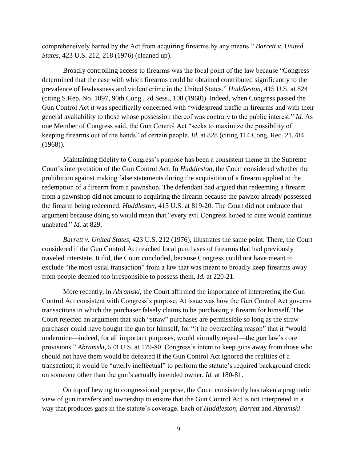comprehensively barred by the Act from acquiring firearms by any means." *Barrett v. United States*, 423 U.S. 212, 218 (1976) (cleaned up).

Broadly controlling access to firearms was the focal point of the law because "Congress determined that the ease with which firearms could be obtained contributed significantly to the prevalence of lawlessness and violent crime in the United States." *Huddleston*, 415 U.S. at 824 (citing S.Rep. No. 1097, 90th Cong., 2d Sess., 108 (1968)). Indeed, when Congress passed the Gun Control Act it was specifically concerned with "widespread traffic in firearms and with their general availability to those whose possession thereof was contrary to the public interest." *Id.* As one Member of Congress said, the Gun Control Act "seeks to maximize the possibility of keeping firearms out of the hands" of certain people. *Id.* at 828 (citing 114 Cong. Rec. 21,784 (1968)).

Maintaining fidelity to Congress's purpose has been a consistent theme in the Supreme Court's interpretation of the Gun Control Act. In *Huddleston*, the Court considered whether the prohibition against making false statements during the acquisition of a firearm applied to the redemption of a firearm from a pawnshop. The defendant had argued that redeeming a firearm from a pawnshop did not amount to acquiring the firearm because the pawnor already possessed the firearm being redeemed. *Huddleston*, 415 U.S. at 819-20. The Court did not embrace that argument because doing so would mean that "every evil Congress hoped to cure would continue unabated." *Id.* at 829.

*Barrett v. United States*, 423 U.S. 212 (1976), illustrates the same point. There, the Court considered if the Gun Control Act reached local purchases of firearms that had previously traveled interstate. It did, the Court concluded, because Congress could not have meant to exclude "the most usual transaction" from a law that was meant to broadly keep firearms away from people deemed too irresponsible to possess them. *Id.* at 220-21.

More recently, in *Abramski*, the Court affirmed the importance of interpreting the Gun Control Act consistent with Congress's purpose. At issue was how the Gun Control Act governs transactions in which the purchaser falsely claims to be purchasing a firearm for himself. The Court rejected an argument that such "straw" purchases are permissible so long as the straw purchaser could have bought the gun for himself, for "[t]he overarching reason" that it "would undermine—indeed, for all important purposes, would virtually repeal—the gun law's core provisions." *Abramski*, 573 U.S. at 179-80. Congress's intent to keep guns away from those who should not have them would be defeated if the Gun Control Act ignored the realities of a transaction; it would be "utterly ineffectual" to perform the statute's required background check on someone other than the gun's actually intended owner. *Id.* at 180-81.

On top of hewing to congressional purpose, the Court consistently has taken a pragmatic view of gun transfers and ownership to ensure that the Gun Control Act is not interpreted in a way that produces gaps in the statute's coverage. Each of *Huddleston*, *Barrett* and *Abramski*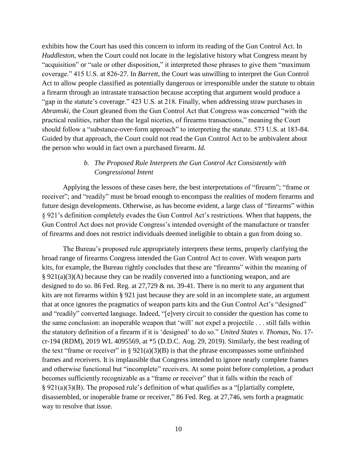exhibits how the Court has used this concern to inform its reading of the Gun Control Act. In *Huddleston*, when the Court could not locate in the legislative history what Congress meant by "acquisition" or "sale or other disposition," it interpreted those phrases to give them "maximum coverage." 415 U.S. at 826-27. In *Barrett*, the Court was unwilling to interpret the Gun Control Act to allow people classified as potentially dangerous or irresponsible under the statute to obtain a firearm through an intrastate transaction because accepting that argument would produce a "gap in the statute's coverage." 423 U.S. at 218*.* Finally, when addressing straw purchases in *Abramski*, the Court gleaned from the Gun Control Act that Congress was concerned "with the practical realities, rather than the legal niceties, of firearms transactions," meaning the Court should follow a "substance-over-form approach" to interpreting the statute. 573 U.S. at 183-84. Guided by that approach, the Court could not read the Gun Control Act to be ambivalent about the person who would in fact own a purchased firearm. *Id.*

# *b. The Proposed Rule Interprets the Gun Control Act Consistently with Congressional Intent*

Applying the lessons of these cases here, the best interpretations of "firearm"; "frame or receiver"; and "readily" must be broad enough to encompass the realities of modern firearms and future design developments. Otherwise, as has become evident, a large class of "firearms" within § 921's definition completely evades the Gun Control Act's restrictions. When that happens, the Gun Control Act does not provide Congress's intended oversight of the manufacture or transfer of firearms and does not restrict individuals deemed ineligible to obtain a gun from doing so.

The Bureau's proposed rule appropriately interprets these terms, properly clarifying the broad range of firearms Congress intended the Gun Control Act to cover. With weapon parts kits, for example, the Bureau rightly concludes that these are "firearms" within the meaning of § 921(a)(3)(A) because they can be readily converted into a functioning weapon, and are designed to do so. 86 Fed. Reg. at 27,729 & nn. 39-41. There is no merit to any argument that kits are not firearms within § 921 just because they are sold in an incomplete state, an argument that at once ignores the pragmatics of weapon parts kits and the Gun Control Act's "designed" and "readily" converted language. Indeed, "[e]very circuit to consider the question has come to the same conclusion: an inoperable weapon that 'will' not expel a projectile . . . still falls within the statutory definition of a firearm if it is 'designed' to do so." *United States v. Thomas*, No. 17 cr-194 (RDM), 2019 WL 4095569, at \*5 (D.D.C. Aug. 29, 2019). Similarly, the best reading of the text "frame or receiver" in  $\S 921(a)(3)(B)$  is that the phrase encompasses some unfinished frames and receivers. It is implausible that Congress intended to ignore nearly complete frames and otherwise functional but "incomplete" receivers. At some point before completion, a product becomes sufficiently recognizable as a "frame or receiver" that it falls within the reach of § 921(a)(3)(B). The proposed rule's definition of what qualifies as a "[p]artially complete, disassembled, or inoperable frame or receiver," 86 Fed. Reg. at 27,746, sets forth a pragmatic way to resolve that issue.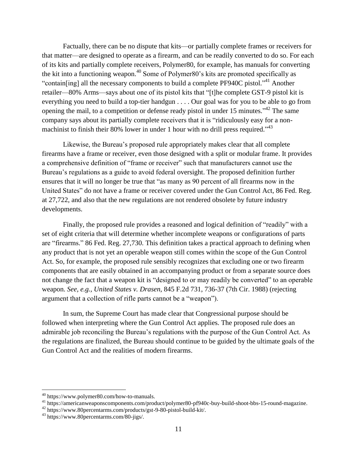Factually, there can be no dispute that kits—or partially complete frames or receivers for that matter—are designed to operate as a firearm, and can be readily converted to do so. For each of its kits and partially complete receivers, Polymer80, for example, has manuals for converting the kit into a functioning weapon.<sup>40</sup> Some of Polymer80's kits are promoted specifically as "contain[ing] all the necessary components to build a complete PF940C pistol."<sup>41</sup> Another retailer—80% Arms—says about one of its pistol kits that "[t]he complete GST-9 pistol kit is everything you need to build a top-tier handgun . . . . Our goal was for you to be able to go from opening the mail, to a competition or defense ready pistol in under 15 minutes."<sup>42</sup> The same company says about its partially complete receivers that it is "ridiculously easy for a nonmachinist to finish their 80% lower in under 1 hour with no drill press required." $33$ 

Likewise, the Bureau's proposed rule appropriately makes clear that all complete firearms have a frame or receiver, even those designed with a split or modular frame. It provides a comprehensive definition of "frame or receiver" such that manufacturers cannot use the Bureau's regulations as a guide to avoid federal oversight. The proposed definition further ensures that it will no longer be true that "as many as 90 percent of all firearms now in the United States" do not have a frame or receiver covered under the Gun Control Act, 86 Fed. Reg. at 27,722, and also that the new regulations are not rendered obsolete by future industry developments.

Finally, the proposed rule provides a reasoned and logical definition of "readily" with a set of eight criteria that will determine whether incomplete weapons or configurations of parts are "firearms." 86 Fed. Reg. 27,730. This definition takes a practical approach to defining when any product that is not yet an operable weapon still comes within the scope of the Gun Control Act. So, for example, the proposed rule sensibly recognizes that excluding one or two firearm components that are easily obtained in an accompanying product or from a separate source does not change the fact that a weapon kit is "designed to or may readily be converted" to an operable weapon. *See, e.g., United States v. Drasen*, 845 F.2d 731, 736-37 (7th Cir. 1988) (rejecting argument that a collection of rifle parts cannot be a "weapon").

In sum, the Supreme Court has made clear that Congressional purpose should be followed when interpreting where the Gun Control Act applies. The proposed rule does an admirable job reconciling the Bureau's regulations with the purpose of the Gun Control Act. As the regulations are finalized, the Bureau should continue to be guided by the ultimate goals of the Gun Control Act and the realities of modern firearms.

<sup>40</sup> https://www.polymer80.com/how-to-manuals.

<sup>41</sup> https://americanweaponscomponents.com/product/polymer80-pf940c-buy-build-shoot-bbs-15-round-magazine.

<sup>42</sup> https://www.80percentarms.com/products/gst-9-80-pistol-build-kit/.

<sup>43</sup> https://www.80percentarms.com/80-jigs/.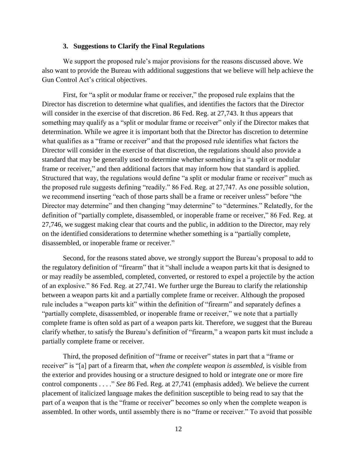#### **3. Suggestions to Clarify the Final Regulations**

We support the proposed rule's major provisions for the reasons discussed above. We also want to provide the Bureau with additional suggestions that we believe will help achieve the Gun Control Act's critical objectives.

First, for "a split or modular frame or receiver," the proposed rule explains that the Director has discretion to determine what qualifies, and identifies the factors that the Director will consider in the exercise of that discretion. 86 Fed. Reg. at 27,743. It thus appears that something may qualify as a "split or modular frame or receiver" only if the Director makes that determination. While we agree it is important both that the Director has discretion to determine what qualifies as a "frame or receiver" and that the proposed rule identifies what factors the Director will consider in the exercise of that discretion, the regulations should also provide a standard that may be generally used to determine whether something is a "a split or modular frame or receiver," and then additional factors that may inform how that standard is applied. Structured that way, the regulations would define "a split or modular frame or receiver" much as the proposed rule suggests defining "readily." 86 Fed. Reg. at 27,747. As one possible solution, we recommend inserting "each of those parts shall be a frame or receiver unless" before "the Director may determine" and then changing "may determine" to "determines." Relatedly, for the definition of "partially complete, disassembled, or inoperable frame or receiver," 86 Fed. Reg. at 27,746, we suggest making clear that courts and the public, in addition to the Director, may rely on the identified considerations to determine whether something is a "partially complete, disassembled, or inoperable frame or receiver."

Second, for the reasons stated above, we strongly support the Bureau's proposal to add to the regulatory definition of "firearm" that it "shall include a weapon parts kit that is designed to or may readily be assembled, completed, converted, or restored to expel a projectile by the action of an explosive." 86 Fed. Reg. at 27,741. We further urge the Bureau to clarify the relationship between a weapon parts kit and a partially complete frame or receiver. Although the proposed rule includes a "weapon parts kit" within the definition of "firearm" and separately defines a "partially complete, disassembled, or inoperable frame or receiver," we note that a partially complete frame is often sold as part of a weapon parts kit. Therefore, we suggest that the Bureau clarify whether, to satisfy the Bureau's definition of "firearm," a weapon parts kit must include a partially complete frame or receiver.

Third, the proposed definition of "frame or receiver" states in part that a "frame or receiver" is "[a] part of a firearm that, *when the complete weapon is assembled*, is visible from the exterior and provides housing or a structure designed to hold or integrate one or more fire control components . . . ." *See* 86 Fed. Reg. at 27,741 (emphasis added). We believe the current placement of italicized language makes the definition susceptible to being read to say that the part of a weapon that is the "frame or receiver" becomes so only when the complete weapon is assembled. In other words, until assembly there is no "frame or receiver." To avoid that possible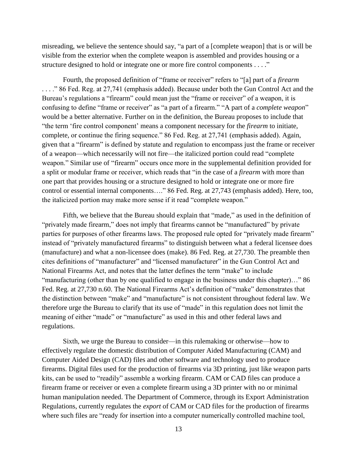misreading, we believe the sentence should say, "a part of a [complete weapon] that is or will be visible from the exterior when the complete weapon is assembled and provides housing or a structure designed to hold or integrate one or more fire control components . . . ."

Fourth, the proposed definition of "frame or receiver" refers to "[a] part of a *firearm* . . . ." 86 Fed. Reg. at 27,741 (emphasis added). Because under both the Gun Control Act and the Bureau's regulations a "firearm" could mean just the "frame or receiver" of a weapon, it is confusing to define "frame or receiver" as "a part of a firearm." "A part of a *complete weapon*" would be a better alternative. Further on in the definition, the Bureau proposes to include that "the term 'fire control component' means a component necessary for the *firearm* to initiate, complete, or continue the firing sequence." 86 Fed. Reg. at 27,741 (emphasis added). Again, given that a "firearm" is defined by statute and regulation to encompass just the frame or receiver of a weapon—which necessarily will not fire—the italicized portion could read "complete weapon." Similar use of "firearm" occurs once more in the supplemental definition provided for a split or modular frame or receiver, which reads that "in the case of a *firearm* with more than one part that provides housing or a structure designed to hold or integrate one or more fire control or essential internal components…." 86 Fed. Reg. at 27,743 (emphasis added). Here, too, the italicized portion may make more sense if it read "complete weapon."

Fifth, we believe that the Bureau should explain that "made," as used in the definition of "privately made firearm," does not imply that firearms cannot be "manufactured" by private parties for purposes of other firearms laws. The proposed rule opted for "privately made firearm" instead of "privately manufactured firearms" to distinguish between what a federal licensee does (manufacture) and what a non-licensee does (make). 86 Fed. Reg. at 27,730. The preamble then cites definitions of "manufacturer" and "licensed manufacturer" in the Gun Control Act and National Firearms Act, and notes that the latter defines the term "make" to include "manufacturing (other than by one qualified to engage in the business under this chapter)…" 86 Fed. Reg. at 27,730 n.60. The National Firearms Act's definition of "make" demonstrates that the distinction between "make" and "manufacture" is not consistent throughout federal law. We therefore urge the Bureau to clarify that its use of "made" in this regulation does not limit the meaning of either "made" or "manufacture" as used in this and other federal laws and regulations.

Sixth, we urge the Bureau to consider—in this rulemaking or otherwise—how to effectively regulate the domestic distribution of Computer Aided Manufacturing (CAM) and Computer Aided Design (CAD) files and other software and technology used to produce firearms. Digital files used for the production of firearms via 3D printing, just like weapon parts kits, can be used to "readily" assemble a working firearm. CAM or CAD files can produce a firearm frame or receiver or even a complete firearm using a 3D printer with no or minimal human manipulation needed. The Department of Commerce, through its Export Administration Regulations, currently regulates the *export* of CAM or CAD files for the production of firearms where such files are "ready for insertion into a computer numerically controlled machine tool,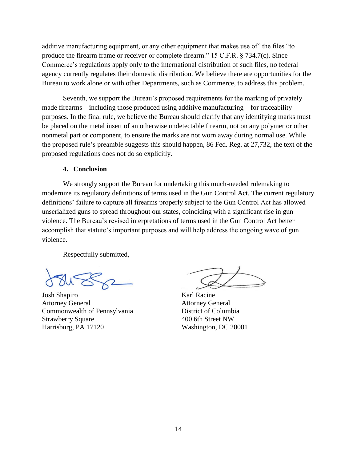additive manufacturing equipment, or any other equipment that makes use of" the files "to produce the firearm frame or receiver or complete firearm." 15 C.F.R. § 734.7(c). Since Commerce's regulations apply only to the international distribution of such files, no federal agency currently regulates their domestic distribution. We believe there are opportunities for the Bureau to work alone or with other Departments, such as Commerce, to address this problem.

Seventh, we support the Bureau's proposed requirements for the marking of privately made firearms—including those produced using additive manufacturing—for traceability purposes. In the final rule, we believe the Bureau should clarify that any identifying marks must be placed on the metal insert of an otherwise undetectable firearm, not on any polymer or other nonmetal part or component, to ensure the marks are not worn away during normal use. While the proposed rule's preamble suggests this should happen, 86 Fed. Reg. at 27,732, the text of the proposed regulations does not do so explicitly.

### **4. Conclusion**

We strongly support the Bureau for undertaking this much-needed rulemaking to modernize its regulatory definitions of terms used in the Gun Control Act. The current regulatory definitions' failure to capture all firearms properly subject to the Gun Control Act has allowed unserialized guns to spread throughout our states, coinciding with a significant rise in gun violence. The Bureau's revised interpretations of terms used in the Gun Control Act better accomplish that statute's important purposes and will help address the ongoing wave of gun violence.

Respectfully submitted,

Josh Shapiro Attorney General Commonwealth of Pennsylvania Strawberry Square Harrisburg, PA 17120

Karl Racine Attorney General District of Columbia 400 6th Street NW Washington, DC 20001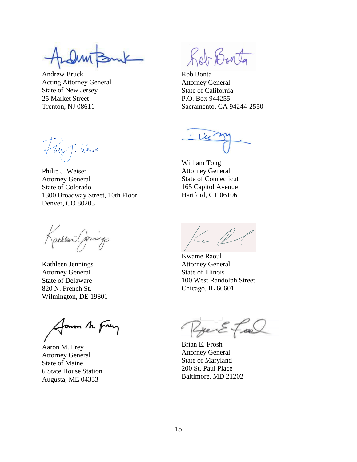Andrew Bruck Acting Attorney General State of New Jersey 25 Market Street Trenton, NJ 08611

Roberto

Rob Bonta Attorney General State of California P.O. Box 944255 Sacramento, CA 94244-2550

William Tong Attorney General State of Connecticut 165 Capitol Avenue Hartford, CT 06106

1300 Broadway Street, 10th Floor Denver, CO 80203

Philip J. Weiser Attorney General State of Colorado

Hury T. Weiser

athleen Commings

Kathleen Jennings Attorney General State of Delaware 820 N. French St. Wilmington, DE 19801

Janon M. Frey

Aaron M. Frey Attorney General State of Maine 6 State House Station Augusta, ME 04333

Kel

Kwame Raoul Attorney General State of Illinois 100 West Randolph Street Chicago, IL 60601

RyenEfra

Brian E. Frosh Attorney General State of Maryland 200 St. Paul Place Baltimore, MD 21202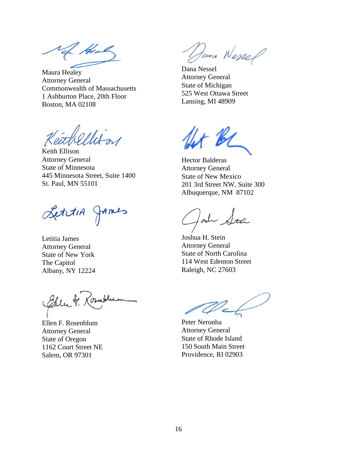( April

Maura Healey Attorney General Commonwealth of Massachusetts 1 Ashburton Place, 20th Floor Boston, MA 02108

Keith Ellison Attorney General State of Minnesota 445 Minnesota Street, Suite 1400 St. Paul, MN 55101

LettiA James

Letitia James Attorney General State of New York The Capitol Albany, NY 12224

Eden

Ellen F. Rosenblum Attorney General State of Oregon 1162 Court Street NE Salem, OR 97301

Jana Wessel

Dana Nessel Attorney General State of Michigan 525 West Ottawa Street Lansing, MI 48909

r Bi

Hector Balderas Attorney General State of New Mexico 201 3rd Street NW, Suite 300 Albuquerque, NM 87102

 $\int_{\mathscr{O}}$ 

Joshua H. Stein Attorney General State of North Carolina 114 West Edenton Street Raleigh, NC 27603

Peter Neronha Attorney General State of Rhode Island 150 South Main Street Providence, RI 02903